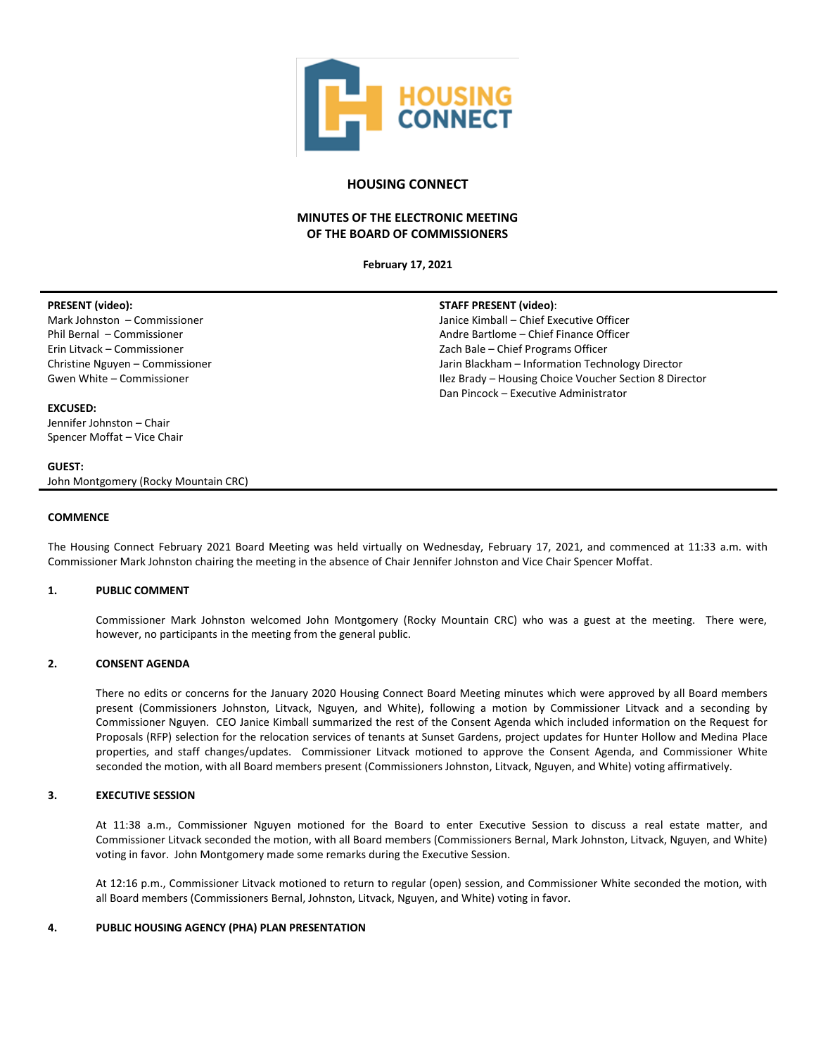

# **HOUSING CONNECT**

# **MINUTES OF THE ELECTRONIC MEETING OF THE BOARD OF COMMISSIONERS**

**February 17, 2021**

#### **PRESENT (video):**  Mark Johnston – Commissioner Phil Bernal – Commissioner Erin Litvack – Commissioner Christine Nguyen – Commissioner Gwen White – Commissioner **EXCUSED:** Jennifer Johnston – Chair Spencer Moffat – Vice Chair **STAFF PRESENT (video)**: Janice Kimball – Chief Executive Officer Andre Bartlome – Chief Finance Officer Zach Bale – Chief Programs Officer Jarin Blackham – Information Technology Director Ilez Brady – Housing Choice Voucher Section 8 Director Dan Pincock – Executive Administrator

John Montgomery (Rocky Mountain CRC)

**GUEST:**

#### **COMMENCE**

The Housing Connect February 2021 Board Meeting was held virtually on Wednesday, February 17, 2021, and commenced at 11:33 a.m. with Commissioner Mark Johnston chairing the meeting in the absence of Chair Jennifer Johnston and Vice Chair Spencer Moffat.

#### **1. PUBLIC COMMENT**

Commissioner Mark Johnston welcomed John Montgomery (Rocky Mountain CRC) who was a guest at the meeting. There were, however, no participants in the meeting from the general public.

#### **2. CONSENT AGENDA**

There no edits or concerns for the January 2020 Housing Connect Board Meeting minutes which were approved by all Board members present (Commissioners Johnston, Litvack, Nguyen, and White), following a motion by Commissioner Litvack and a seconding by Commissioner Nguyen. CEO Janice Kimball summarized the rest of the Consent Agenda which included information on the Request for Proposals (RFP) selection for the relocation services of tenants at Sunset Gardens, project updates for Hunter Hollow and Medina Place properties, and staff changes/updates. Commissioner Litvack motioned to approve the Consent Agenda, and Commissioner White seconded the motion, with all Board members present (Commissioners Johnston, Litvack, Nguyen, and White) voting affirmatively.

# **3. EXECUTIVE SESSION**

At 11:38 a.m., Commissioner Nguyen motioned for the Board to enter Executive Session to discuss a real estate matter, and Commissioner Litvack seconded the motion, with all Board members (Commissioners Bernal, Mark Johnston, Litvack, Nguyen, and White) voting in favor. John Montgomery made some remarks during the Executive Session.

At 12:16 p.m., Commissioner Litvack motioned to return to regular (open) session, and Commissioner White seconded the motion, with all Board members (Commissioners Bernal, Johnston, Litvack, Nguyen, and White) voting in favor.

#### **4. PUBLIC HOUSING AGENCY (PHA) PLAN PRESENTATION**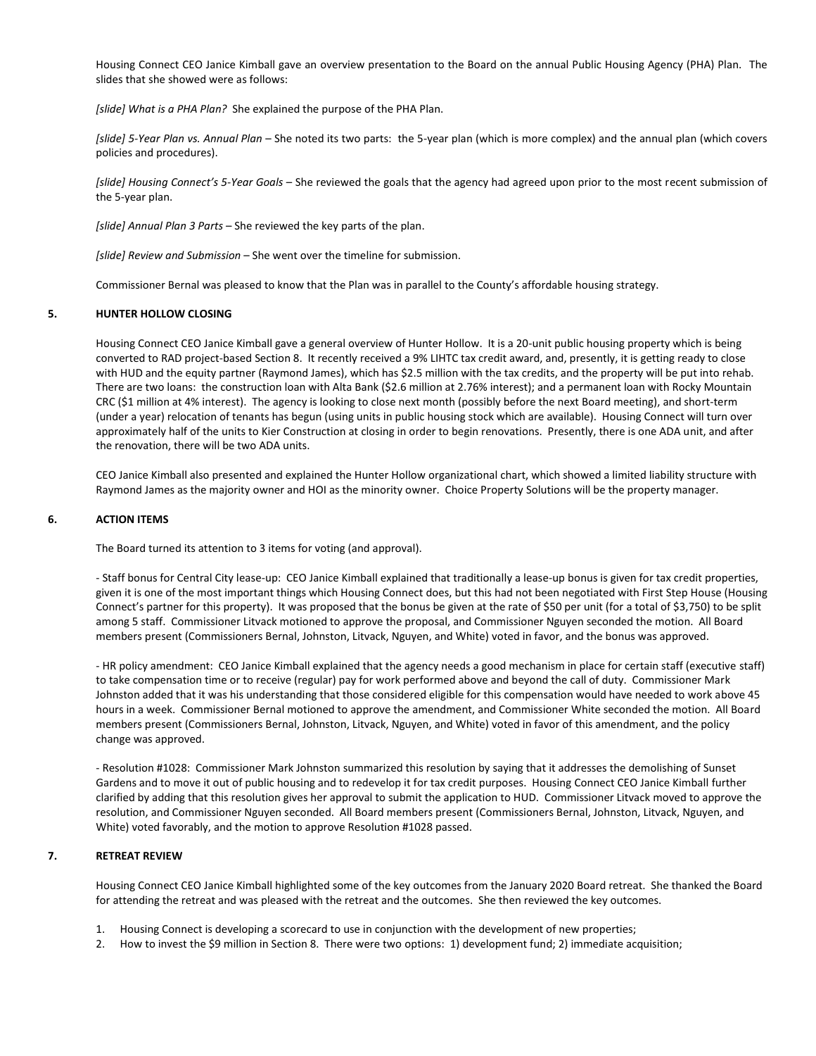Housing Connect CEO Janice Kimball gave an overview presentation to the Board on the annual Public Housing Agency (PHA) Plan. The slides that she showed were as follows:

*[slide] What is a PHA Plan?* She explained the purpose of the PHA Plan.

*[slide] 5-Year Plan vs. Annual Plan* – She noted its two parts: the 5-year plan (which is more complex) and the annual plan (which covers policies and procedures).

*[slide] Housing Connect's 5-Year Goals* – She reviewed the goals that the agency had agreed upon prior to the most recent submission of the 5-year plan.

*[slide] Annual Plan 3 Parts* – She reviewed the key parts of the plan.

*[slide] Review and Submission* – She went over the timeline for submission.

Commissioner Bernal was pleased to know that the Plan was in parallel to the County's affordable housing strategy.

#### **5. HUNTER HOLLOW CLOSING**

Housing Connect CEO Janice Kimball gave a general overview of Hunter Hollow. It is a 20-unit public housing property which is being converted to RAD project-based Section 8. It recently received a 9% LIHTC tax credit award, and, presently, it is getting ready to close with HUD and the equity partner (Raymond James), which has \$2.5 million with the tax credits, and the property will be put into rehab. There are two loans: the construction loan with Alta Bank (\$2.6 million at 2.76% interest); and a permanent loan with Rocky Mountain CRC (\$1 million at 4% interest). The agency is looking to close next month (possibly before the next Board meeting), and short-term (under a year) relocation of tenants has begun (using units in public housing stock which are available). Housing Connect will turn over approximately half of the units to Kier Construction at closing in order to begin renovations. Presently, there is one ADA unit, and after the renovation, there will be two ADA units.

CEO Janice Kimball also presented and explained the Hunter Hollow organizational chart, which showed a limited liability structure with Raymond James as the majority owner and HOI as the minority owner. Choice Property Solutions will be the property manager.

### **6. ACTION ITEMS**

The Board turned its attention to 3 items for voting (and approval).

- Staff bonus for Central City lease-up: CEO Janice Kimball explained that traditionally a lease-up bonus is given for tax credit properties, given it is one of the most important things which Housing Connect does, but this had not been negotiated with First Step House (Housing Connect's partner for this property). It was proposed that the bonus be given at the rate of \$50 per unit (for a total of \$3,750) to be split among 5 staff. Commissioner Litvack motioned to approve the proposal, and Commissioner Nguyen seconded the motion. All Board members present (Commissioners Bernal, Johnston, Litvack, Nguyen, and White) voted in favor, and the bonus was approved.

- HR policy amendment: CEO Janice Kimball explained that the agency needs a good mechanism in place for certain staff (executive staff) to take compensation time or to receive (regular) pay for work performed above and beyond the call of duty. Commissioner Mark Johnston added that it was his understanding that those considered eligible for this compensation would have needed to work above 45 hours in a week. Commissioner Bernal motioned to approve the amendment, and Commissioner White seconded the motion. All Board members present (Commissioners Bernal, Johnston, Litvack, Nguyen, and White) voted in favor of this amendment, and the policy change was approved.

- Resolution #1028: Commissioner Mark Johnston summarized this resolution by saying that it addresses the demolishing of Sunset Gardens and to move it out of public housing and to redevelop it for tax credit purposes. Housing Connect CEO Janice Kimball further clarified by adding that this resolution gives her approval to submit the application to HUD. Commissioner Litvack moved to approve the resolution, and Commissioner Nguyen seconded. All Board members present (Commissioners Bernal, Johnston, Litvack, Nguyen, and White) voted favorably, and the motion to approve Resolution #1028 passed.

# **7. RETREAT REVIEW**

Housing Connect CEO Janice Kimball highlighted some of the key outcomes from the January 2020 Board retreat. She thanked the Board for attending the retreat and was pleased with the retreat and the outcomes. She then reviewed the key outcomes.

- 1. Housing Connect is developing a scorecard to use in conjunction with the development of new properties;
- 2. How to invest the \$9 million in Section 8. There were two options: 1) development fund; 2) immediate acquisition;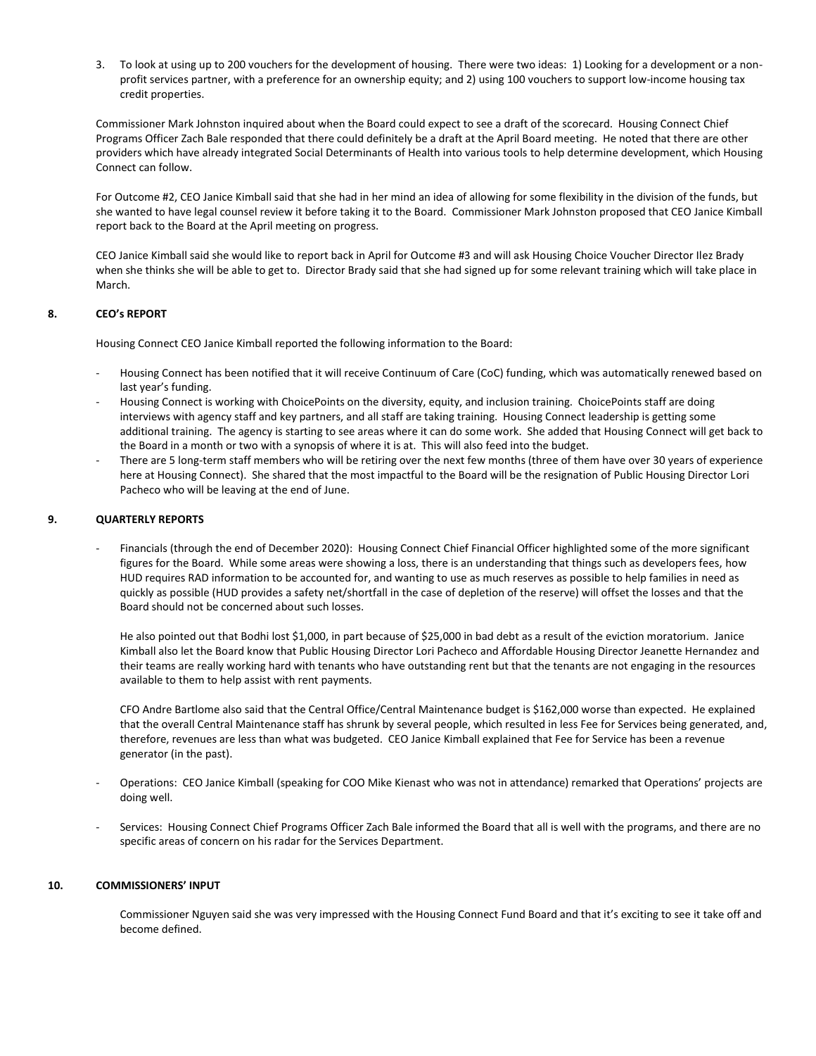3. To look at using up to 200 vouchers for the development of housing. There were two ideas: 1) Looking for a development or a nonprofit services partner, with a preference for an ownership equity; and 2) using 100 vouchers to support low-income housing tax credit properties.

Commissioner Mark Johnston inquired about when the Board could expect to see a draft of the scorecard. Housing Connect Chief Programs Officer Zach Bale responded that there could definitely be a draft at the April Board meeting. He noted that there are other providers which have already integrated Social Determinants of Health into various tools to help determine development, which Housing Connect can follow.

For Outcome #2, CEO Janice Kimball said that she had in her mind an idea of allowing for some flexibility in the division of the funds, but she wanted to have legal counsel review it before taking it to the Board. Commissioner Mark Johnston proposed that CEO Janice Kimball report back to the Board at the April meeting on progress.

CEO Janice Kimball said she would like to report back in April for Outcome #3 and will ask Housing Choice Voucher Director Ilez Brady when she thinks she will be able to get to. Director Brady said that she had signed up for some relevant training which will take place in March.

# **8. CEO's REPORT**

Housing Connect CEO Janice Kimball reported the following information to the Board:

- Housing Connect has been notified that it will receive Continuum of Care (CoC) funding, which was automatically renewed based on last year's funding.
- Housing Connect is working with ChoicePoints on the diversity, equity, and inclusion training. ChoicePoints staff are doing interviews with agency staff and key partners, and all staff are taking training. Housing Connect leadership is getting some additional training. The agency is starting to see areas where it can do some work. She added that Housing Connect will get back to the Board in a month or two with a synopsis of where it is at. This will also feed into the budget.
- There are 5 long-term staff members who will be retiring over the next few months (three of them have over 30 years of experience here at Housing Connect). She shared that the most impactful to the Board will be the resignation of Public Housing Director Lori Pacheco who will be leaving at the end of June.

## **9. QUARTERLY REPORTS**

- Financials (through the end of December 2020): Housing Connect Chief Financial Officer highlighted some of the more significant figures for the Board. While some areas were showing a loss, there is an understanding that things such as developers fees, how HUD requires RAD information to be accounted for, and wanting to use as much reserves as possible to help families in need as quickly as possible (HUD provides a safety net/shortfall in the case of depletion of the reserve) will offset the losses and that the Board should not be concerned about such losses.

He also pointed out that Bodhi lost \$1,000, in part because of \$25,000 in bad debt as a result of the eviction moratorium. Janice Kimball also let the Board know that Public Housing Director Lori Pacheco and Affordable Housing Director Jeanette Hernandez and their teams are really working hard with tenants who have outstanding rent but that the tenants are not engaging in the resources available to them to help assist with rent payments.

CFO Andre Bartlome also said that the Central Office/Central Maintenance budget is \$162,000 worse than expected. He explained that the overall Central Maintenance staff has shrunk by several people, which resulted in less Fee for Services being generated, and, therefore, revenues are less than what was budgeted. CEO Janice Kimball explained that Fee for Service has been a revenue generator (in the past).

- Operations: CEO Janice Kimball (speaking for COO Mike Kienast who was not in attendance) remarked that Operations' projects are doing well.
- Services: Housing Connect Chief Programs Officer Zach Bale informed the Board that all is well with the programs, and there are no specific areas of concern on his radar for the Services Department.

#### **10. COMMISSIONERS' INPUT**

Commissioner Nguyen said she was very impressed with the Housing Connect Fund Board and that it's exciting to see it take off and become defined.